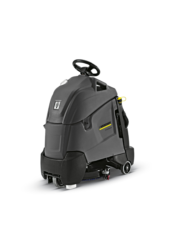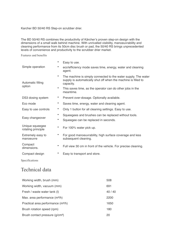Karcher BD 50/40 RS Step-on scrubber drier.

The BD 50/40 RS combines the productivity of Kärcher's proven step-on design with the dimensions of a small walk behind machine. With unrivalled visibility, manoeuvrability and cleaning performance from its 50cm disc brush or pad, the 50/40 RS brings unprecedented levels of convenience and productivity to the scrubber drier market.

Features and benefits

| Simple operation                      | ٠         | Easy to use.                                                                                                                                  |
|---------------------------------------|-----------|-----------------------------------------------------------------------------------------------------------------------------------------------|
|                                       |           | ecolefficiency mode saves time, energy, water and cleaning<br>agent.                                                                          |
| Automatic filling<br>option           | $\bullet$ | The machine is simply connected to the water supply. The water<br>supply is automatically shut off when the machine is filled to<br>capacity. |
|                                       | ٠         | This saves time, as the operator can do other jobs in the<br>meantime.                                                                        |
| DS3 dosing system                     | ٠         | Prevent over-dosage. Optionally available.                                                                                                    |
| Eco mode                              | $\bullet$ | Saves time, energy, water and cleaning agent.                                                                                                 |
| Easy to use controls                  | ٠         | Only 1 button for all cleaning settings. Easy to use.                                                                                         |
| Easy changeover                       | $\bullet$ | Squeegees and brushes can be replaced without tools.                                                                                          |
|                                       | ٠         | Squeegee can be replaced in seconds.                                                                                                          |
| Unique squeegee<br>rotating principle | $\bullet$ | For 100% water pick up.                                                                                                                       |
| Extremely easy to<br>manoeuvre        |           | For good manoeuvrability, high surface coverage and less<br>subsequent cleaning.                                                              |
| Compact<br>dimensions.                | ٠         | Full view 30 cm in front of the vehicle. For precise cleaning.                                                                                |
| Compact design                        | ٠         | Easy to transport and store.                                                                                                                  |
| Specifications                        |           |                                                                                                                                               |

## Technical data

| Working width, brush (mm)                      | 508   |
|------------------------------------------------|-------|
| Working width, vacuum (mm)                     | 691   |
| Fresh / waste water tank (I)                   | 40/40 |
| Max. area performance (m <sup>2</sup> /h)      | 2200  |
| Practical area performance (m <sup>2</sup> /h) | 1650  |
| Brush rotation speed (rpm)                     | 180   |
| Brush contact pressure (g/cm <sup>2</sup> )    | 20    |